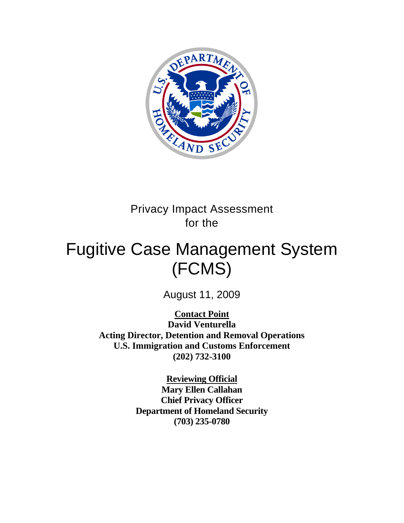

# Privacy Impact Assessment for the

# Fugitive Case Management System (FCMS)

August 11, 2009

**Contact Point David Venturella Acting Director, Detention and Removal Operations U.S. Immigration and Customs Enforcement (202) 732-3100** 

> **Reviewing Official Mary Ellen Callahan Chief Privacy Officer Department of Homeland Security (703) 235-0780**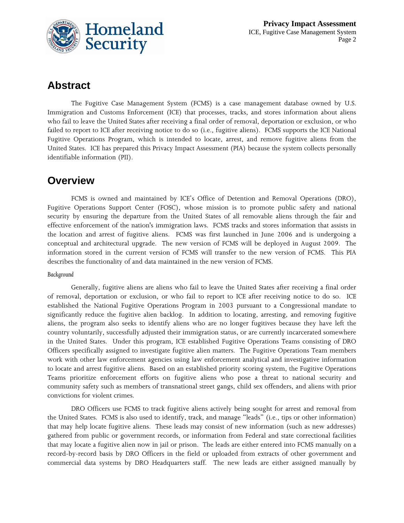

## **Abstract**

The Fugitive Case Management System (FCMS) is a case management database owned by U.S. Immigration and Customs Enforcement (ICE) that processes, tracks, and stores information about aliens who fail to leave the United States after receiving a final order of removal, deportation or exclusion, or who failed to report to ICE after receiving notice to do so (i.e., fugitive aliens). FCMS supports the ICE National Fugitive Operations Program, which is intended to locate, arrest, and remove fugitive aliens from the United States. ICE has prepared this Privacy Impact Assessment (PIA) because the system collects personally identifiable information (PII).

### **Overview**

FCMS is owned and maintained by ICE's Office of Detention and Removal Operations (DRO), Fugitive Operations Support Center (FOSC), whose mission is to promote public safety and national security by ensuring the departure from the United States of all removable aliens through the fair and effective enforcement of the nation's immigration laws. FCMS tracks and stores information that assists in the location and arrest of fugitive aliens. FCMS was first launched in June 2006 and is undergoing a conceptual and architectural upgrade. The new version of FCMS will be deployed in August 2009. The information stored in the current version of FCMS will transfer to the new version of FCMS. This PIA describes the functionality of and data maintained in the new version of FCMS.

#### *Background*

Generally, fugitive aliens are aliens who fail to leave the United States after receiving a final order of removal, deportation or exclusion, or who fail to report to ICE after receiving notice to do so. ICE established the National Fugitive Operations Program in 2003 pursuant to a Congressional mandate to significantly reduce the fugitive alien backlog. In addition to locating, arresting, and removing fugitive aliens, the program also seeks to identify aliens who are no longer fugitives because they have left the country voluntarily, successfully adjusted their immigration status, or are currently incarcerated somewhere in the United States. Under this program, ICE established Fugitive Operations Teams consisting of DRO Officers specifically assigned to investigate fugitive alien matters. The Fugitive Operations Team members work with other law enforcement agencies using law enforcement analytical and investigative information to locate and arrest fugitive aliens. Based on an established priority scoring system, the Fugitive Operations Teams prioritize enforcement efforts on fugitive aliens who pose a threat to national security and community safety such as members of transnational street gangs, child sex offenders, and aliens with prior convictions for violent crimes.

DRO Officers use FCMS to track fugitive aliens actively being sought for arrest and removal from the United States. FCMS is also used to identify, track, and manage "leads" (i.e., tips or other information) that may help locate fugitive aliens. These leads may consist of new information (such as new addresses) gathered from public or government records, or information from Federal and state correctional facilities that may locate a fugitive alien now in jail or prison. The leads are either entered into FCMS manually on a record-by-record basis by DRO Officers in the field or uploaded from extracts of other government and commercial data systems by DRO Headquarters staff. The new leads are either assigned manually by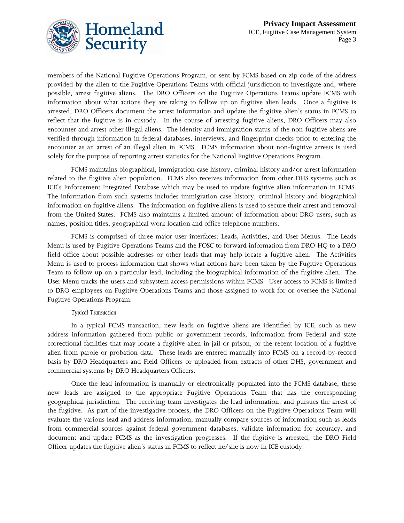



members of the National Fugitive Operations Program, or sent by FCMS based on zip code of the address provided by the alien to the Fugitive Operations Teams with official jurisdiction to investigate and, where possible, arrest fugitive aliens. The DRO Officers on the Fugitive Operations Teams update FCMS with information about what actions they are taking to follow up on fugitive alien leads. Once a fugitive is arrested, DRO Officers document the arrest information and update the fugitive alien's status in FCMS to reflect that the fugitive is in custody. In the course of arresting fugitive aliens, DRO Officers may also encounter and arrest other illegal aliens. The identity and immigration status of the non-fugitive aliens are verified through information in federal databases, interviews, and fingerprint checks prior to entering the encounter as an arrest of an illegal alien in FCMS. FCMS information about non-fugitive arrests is used solely for the purpose of reporting arrest statistics for the National Fugitive Operations Program.

FCMS maintains biographical, immigration case history, criminal history and/or arrest information related to the fugitive alien population. FCMS also receives information from other DHS systems such as ICE's Enforcement Integrated Database which may be used to update fugitive alien information in FCMS. The information from such systems includes immigration case history, criminal history and biographical information on fugitive aliens. The information on fugitive aliens is used to secure their arrest and removal from the United States. FCMS also maintains a limited amount of information about DRO users, such as names, position titles, geographical work location and office telephone numbers.

FCMS is comprised of three major user interfaces: Leads, Activities, and User Menus. The Leads Menu is used by Fugitive Operations Teams and the FOSC to forward information from DRO-HQ to a DRO field office about possible addresses or other leads that may help locate a fugitive alien. The Activities Menu is used to process information that shows what actions have been taken by the Fugitive Operations Team to follow up on a particular lead, including the biographical information of the fugitive alien. The User Menu tracks the users and subsystem access permissions within FCMS. User access to FCMS is limited to DRO employees on Fugitive Operations Teams and those assigned to work for or oversee the National Fugitive Operations Program.

#### *Typical Transaction*

In a typical FCMS transaction, new leads on fugitive aliens are identified by ICE, such as new address information gathered from public or government records; information from Federal and state correctional facilities that may locate a fugitive alien in jail or prison; or the recent location of a fugitive alien from parole or probation data. These leads are entered manually into FCMS on a record-by-record basis by DRO Headquarters and Field Officers or uploaded from extracts of other DHS, government and commercial systems by DRO Headquarters Officers.

Once the lead information is manually or electronically populated into the FCMS database, these new leads are assigned to the appropriate Fugitive Operations Team that has the corresponding geographical jurisdiction. The receiving team investigates the lead information, and pursues the arrest of the fugitive. As part of the investigative process, the DRO Officers on the Fugitive Operations Team will evaluate the various lead and address information, manually compare sources of information such as leads from commercial sources against federal government databases, validate information for accuracy, and document and update FCMS as the investigation progresses. If the fugitive is arrested, the DRO Field Officer updates the fugitive alien's status in FCMS to reflect he/she is now in ICE custody.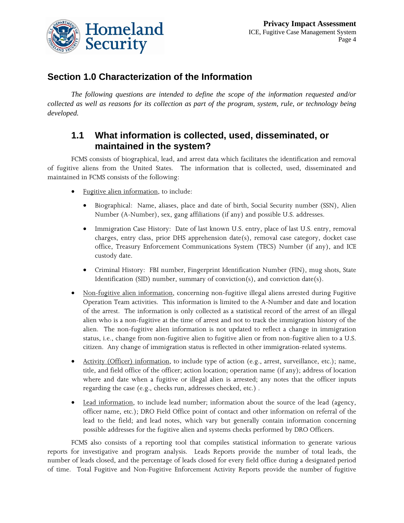

#### **Section 1.0 Characterization of the Information**

*The following questions are intended to define the scope of the information requested and/or collected as well as reasons for its collection as part of the program, system, rule, or technology being developed.* 

#### **1.1 What information is collected, used, disseminated, or maintained in the system?**

FCMS consists of biographical, lead, and arrest data which facilitates the identification and removal of fugitive aliens from the United States. The information that is collected, used, disseminated and maintained in FCMS consists of the following:

- Fugitive alien information, to include:
	- Biographical: Name, aliases, place and date of birth, Social Security number (SSN), Alien Number (A-Number), sex, gang affiliations (if any) and possible U.S. addresses.
	- Immigration Case History: Date of last known U.S. entry, place of last U.S. entry, removal charges, entry class, prior DHS apprehension date(s), removal case category, docket case office, Treasury Enforcement Communications System (TECS) Number (if any), and ICE custody date.
	- Criminal History: FBI number, Fingerprint Identification Number (FIN), mug shots, State Identification (SID) number, summary of conviction(s), and conviction date(s).
- Non-fugitive alien information, concerning non-fugitive illegal aliens arrested during Fugitive Operation Team activities. This information is limited to the A-Number and date and location of the arrest. The information is only collected as a statistical record of the arrest of an illegal alien who is a non-fugitive at the time of arrest and not to track the immigration history of the alien. The non-fugitive alien information is not updated to reflect a change in immigration status, i.e., change from non-fugitive alien to fugitive alien or from non-fugitive alien to a U.S. citizen. Any change of immigration status is reflected in other immigration-related systems.
- Activity (Officer) information, to include type of action (e.g., arrest, surveillance, etc.); name, title, and field office of the officer; action location; operation name (if any); address of location where and date when a fugitive or illegal alien is arrested; any notes that the officer inputs regarding the case (e.g., checks run, addresses checked, etc.) .
- Lead information, to include lead number; information about the source of the lead (agency, officer name, etc.); DRO Field Office point of contact and other information on referral of the lead to the field; and lead notes, which vary but generally contain information concerning possible addresses for the fugitive alien and systems checks performed by DRO Officers.

FCMS also consists of a reporting tool that compiles statistical information to generate various reports for investigative and program analysis. Leads Reports provide the number of total leads, the number of leads closed, and the percentage of leads closed for every field office during a designated period of time. Total Fugitive and Non-Fugitive Enforcement Activity Reports provide the number of fugitive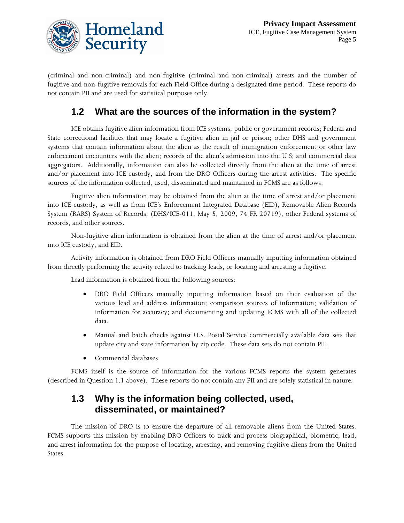

(criminal and non-criminal) and non-fugitive (criminal and non-criminal) arrests and the number of fugitive and non-fugitive removals for each Field Office during a designated time period. These reports do not contain PII and are used for statistical purposes only.

## **1.2 What are the sources of the information in the system?**

ICE obtains fugitive alien information from ICE systems; public or government records; Federal and State correctional facilities that may locate a fugitive alien in jail or prison; other DHS and government systems that contain information about the alien as the result of immigration enforcement or other law enforcement encounters with the alien; records of the alien's admission into the U.S; and commercial data aggregators. Additionally, information can also be collected directly from the alien at the time of arrest and/or placement into ICE custody, and from the DRO Officers during the arrest activities. The specific sources of the information collected, used, disseminated and maintained in FCMS are as follows:

Fugitive alien information may be obtained from the alien at the time of arrest and/or placement into ICE custody, as well as from ICE's Enforcement Integrated Database (EID), Removable Alien Records System (RARS) System of Records, (DHS/ICE-011, May 5, 2009, 74 FR 20719), other Federal systems of records, and other sources.

Non-fugitive alien information is obtained from the alien at the time of arrest and/or placement into ICE custody, and EID.

Activity information is obtained from DRO Field Officers manually inputting information obtained from directly performing the activity related to tracking leads, or locating and arresting a fugitive.

Lead information is obtained from the following sources:

- DRO Field Officers manually inputting information based on their evaluation of the various lead and address information; comparison sources of information; validation of information for accuracy; and documenting and updating FCMS with all of the collected data.
- Manual and batch checks against U.S. Postal Service commercially available data sets that update city and state information by zip code. These data sets do not contain PII.
- Commercial databases

FCMS itself is the source of information for the various FCMS reports the system generates (described in Question 1.1 above). These reports do not contain any PII and are solely statistical in nature.

#### **1.3 Why is the information being collected, used, disseminated, or maintained?**

The mission of DRO is to ensure the departure of all removable aliens from the United States. FCMS supports this mission by enabling DRO Officers to track and process biographical, biometric, lead, and arrest information for the purpose of locating, arresting, and removing fugitive aliens from the United States.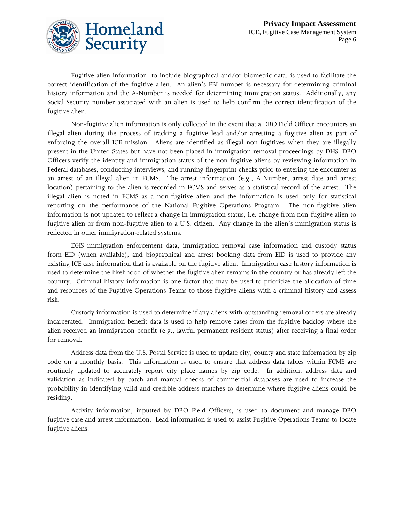

Fugitive alien information, to include biographical and/or biometric data, is used to facilitate the correct identification of the fugitive alien. An alien's FBI number is necessary for determining criminal history information and the A-Number is needed for determining immigration status. Additionally, any Social Security number associated with an alien is used to help confirm the correct identification of the fugitive alien.

Non-fugitive alien information is only collected in the event that a DRO Field Officer encounters an illegal alien during the process of tracking a fugitive lead and/or arresting a fugitive alien as part of enforcing the overall ICE mission. Aliens are identified as illegal non-fugitives when they are illegally present in the United States but have not been placed in immigration removal proceedings by DHS. DRO Officers verify the identity and immigration status of the non-fugitive aliens by reviewing information in Federal databases, conducting interviews, and running fingerprint checks prior to entering the encounter as an arrest of an illegal alien in FCMS. The arrest information (e.g., A-Number, arrest date and arrest location) pertaining to the alien is recorded in FCMS and serves as a statistical record of the arrest. The illegal alien is noted in FCMS as a non-fugitive alien and the information is used only for statistical reporting on the performance of the National Fugitive Operations Program. The non-fugitive alien information is not updated to reflect a change in immigration status, i.e. change from non-fugitive alien to fugitive alien or from non-fugitive alien to a U.S. citizen. Any change in the alien's immigration status is reflected in other immigration-related systems.

DHS immigration enforcement data, immigration removal case information and custody status from EID (when available), and biographical and arrest booking data from EID is used to provide any existing ICE case information that is available on the fugitive alien. Immigration case history information is used to determine the likelihood of whether the fugitive alien remains in the country or has already left the country. Criminal history information is one factor that may be used to prioritize the allocation of time and resources of the Fugitive Operations Teams to those fugitive aliens with a criminal history and assess risk.

Custody information is used to determine if any aliens with outstanding removal orders are already incarcerated. Immigration benefit data is used to help remove cases from the fugitive backlog where the alien received an immigration benefit (e.g., lawful permanent resident status) after receiving a final order for removal.

Address data from the U.S. Postal Service is used to update city, county and state information by zip code on a monthly basis. This information is used to ensure that address data tables within FCMS are routinely updated to accurately report city place names by zip code. In addition, address data and validation as indicated by batch and manual checks of commercial databases are used to increase the probability in identifying valid and credible address matches to determine where fugitive aliens could be residing.

Activity information, inputted by DRO Field Officers, is used to document and manage DRO fugitive case and arrest information. Lead information is used to assist Fugitive Operations Teams to locate fugitive aliens.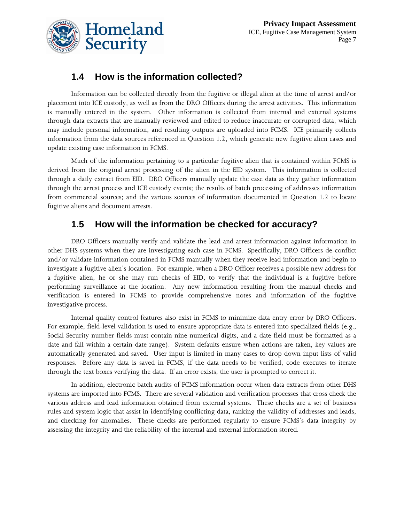

### **1.4 How is the information collected?**

Information can be collected directly from the fugitive or illegal alien at the time of arrest and/or placement into ICE custody, as well as from the DRO Officers during the arrest activities. This information is manually entered in the system. Other information is collected from internal and external systems through data extracts that are manually reviewed and edited to reduce inaccurate or corrupted data, which may include personal information, and resulting outputs are uploaded into FCMS. ICE primarily collects information from the data sources referenced in Question 1.2, which generate new fugitive alien cases and update existing case information in FCMS.

Much of the information pertaining to a particular fugitive alien that is contained within FCMS is derived from the original arrest processing of the alien in the EID system. This information is collected through a daily extract from EID. DRO Officers manually update the case data as they gather information through the arrest process and ICE custody events; the results of batch processing of addresses information from commercial sources; and the various sources of information documented in Question 1.2 to locate fugitive aliens and document arrests.

#### **1.5 How will the information be checked for accuracy?**

DRO Officers manually verify and validate the lead and arrest information against information in other DHS systems when they are investigating each case in FCMS. Specifically, DRO Officers de-conflict and/or validate information contained in FCMS manually when they receive lead information and begin to investigate a fugitive alien's location. For example, when a DRO Officer receives a possible new address for a fugitive alien, he or she may run checks of EID, to verify that the individual is a fugitive before performing surveillance at the location. Any new information resulting from the manual checks and verification is entered in FCMS to provide comprehensive notes and information of the fugitive investigative process.

Internal quality control features also exist in FCMS to minimize data entry error by DRO Officers. For example, field-level validation is used to ensure appropriate data is entered into specialized fields (e.g., Social Security number fields must contain nine numerical digits, and a date field must be formatted as a date and fall within a certain date range). System defaults ensure when actions are taken, key values are automatically generated and saved. User input is limited in many cases to drop down input lists of valid responses. Before any data is saved in FCMS, if the data needs to be verified, code executes to iterate through the text boxes verifying the data. If an error exists, the user is prompted to correct it.

In addition, electronic batch audits of FCMS information occur when data extracts from other DHS systems are imported into FCMS. There are several validation and verification processes that cross check the various address and lead information obtained from external systems. These checks are a set of business rules and system logic that assist in identifying conflicting data, ranking the validity of addresses and leads, and checking for anomalies. These checks are performed regularly to ensure FCMS's data integrity by assessing the integrity and the reliability of the internal and external information stored.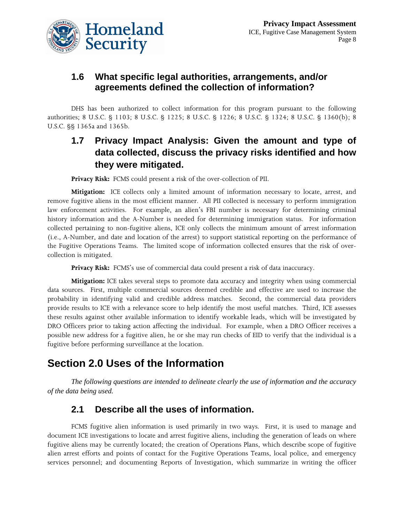

#### **1.6 What specific legal authorities, arrangements, and/or agreements defined the collection of information?**

DHS has been authorized to collect information for this program pursuant to the following authorities; 8 U.S.C. § 1103; 8 U.S.C. § 1225; 8 U.S.C. § 1226; 8 U.S.C. § 1324; 8 U.S.C. § 1360(b); 8 U.S.C. §§ 1365a and 1365b.

### **1.7 Privacy Impact Analysis: Given the amount and type of data collected, discuss the privacy risks identified and how they were mitigated.**

**Privacy Risk:** FCMS could present a risk of the over-collection of PII.

**Mitigation:** ICE collects only a limited amount of information necessary to locate, arrest, and remove fugitive aliens in the most efficient manner. All PII collected is necessary to perform immigration law enforcement activities. For example, an alien's FBI number is necessary for determining criminal history information and the A-Number is needed for determining immigration status. For information collected pertaining to non-fugitive aliens, ICE only collects the minimum amount of arrest information (i.e., A-Number, and date and location of the arrest) to support statistical reporting on the performance of the Fugitive Operations Teams. The limited scope of information collected ensures that the risk of overcollection is mitigated.

**Privacy Risk:** FCMS's use of commercial data could present a risk of data inaccuracy.

**Mitigation:** ICE takes several steps to promote data accuracy and integrity when using commercial data sources. First, multiple commercial sources deemed credible and effective are used to increase the probability in identifying valid and credible address matches. Second, the commercial data providers provide results to ICE with a relevance score to help identify the most useful matches. Third, ICE assesses these results against other available information to identify workable leads, which will be investigated by DRO Officers prior to taking action affecting the individual. For example, when a DRO Officer receives a possible new address for a fugitive alien, he or she may run checks of EID to verify that the individual is a fugitive before performing surveillance at the location.

## **Section 2.0 Uses of the Information**

*The following questions are intended to delineate clearly the use of information and the accuracy of the data being used.* 

### **2.1 Describe all the uses of information.**

FCMS fugitive alien information is used primarily in two ways. First, it is used to manage and document ICE investigations to locate and arrest fugitive aliens, including the generation of leads on where fugitive aliens may be currently located; the creation of Operations Plans, which describe scope of fugitive alien arrest efforts and points of contact for the Fugitive Operations Teams, local police, and emergency services personnel; and documenting Reports of Investigation, which summarize in writing the officer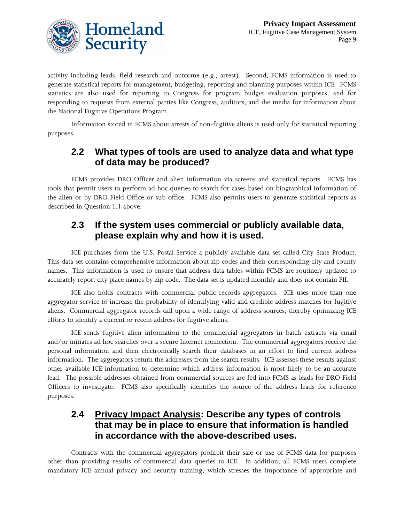

activity including leads, field research and outcome (e.g., arrest). Second, FCMS information is used to generate statistical reports for management, budgeting, reporting and planning purposes within ICE. FCMS statistics are also used for reporting to Congress for program budget evaluation purposes, and for responding to requests from external parties like Congress, auditors, and the media for information about the National Fugitive Operations Program.

Information stored in FCMS about arrests of non-fugitive aliens is used only for statistical reporting purposes.

#### **2.2 What types of tools are used to analyze data and what type of data may be produced?**

FCMS provides DRO Officer and alien information via screens and statistical reports. FCMS has tools that permit users to perform ad hoc queries to search for cases based on biographical information of the alien or by DRO Field Office or sub-office. FCMS also permits users to generate statistical reports as described in Question 1.1 above.

#### **2.3 If the system uses commercial or publicly available data, please explain why and how it is used.**

ICE purchases from the U.S. Postal Service a publicly available data set called City State Product. This data set contains comprehensive information about zip codes and their corresponding city and county names. This information is used to ensure that address data tables within FCMS are routinely updated to accurately report city place names by zip code. The data set is updated monthly and does not contain PII.

ICE also holds contracts with commercial public records aggregators. ICE uses more than one aggregator service to increase the probability of identifying valid and credible address matches for fugitive aliens. Commercial aggregator records call upon a wide range of address sources, thereby optimizing ICE efforts to identify a current or recent address for fugitive aliens.

ICE sends fugitive alien information to the commercial aggregators in batch extracts via email and/or initiates ad hoc searches over a secure Internet connection. The commercial aggregators receive the personal information and then electronically search their databases in an effort to find current address information. The aggregators return the addresses from the search results. ICE assesses these results against other available ICE information to determine which address information is most likely to be an accurate lead. The possible addresses obtained from commercial sources are fed into FCMS as leads for DRO Field Officers to investigate. FCMS also specifically identifies the source of the address leads for reference purposes.

#### **2.4 Privacy Impact Analysis: Describe any types of controls that may be in place to ensure that information is handled in accordance with the above-described uses.**

Contracts with the commercial aggregators prohibit their sale or use of FCMS data for purposes other than providing results of commercial data queries to ICE. In addition, all FCMS users complete mandatory ICE annual privacy and security training, which stresses the importance of appropriate and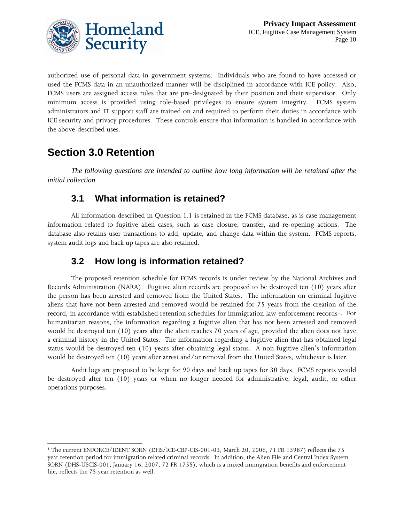

authorized use of personal data in government systems. Individuals who are found to have accessed or used the FCMS data in an unauthorized manner will be disciplined in accordance with ICE policy. Also, FCMS users are assigned access roles that are pre-designated by their position and their supervisor. Only minimum access is provided using role-based privileges to ensure system integrity. FCMS system administrators and IT support staff are trained on and required to perform their duties in accordance with ICE security and privacy procedures. These controls ensure that information is handled in accordance with the above-described uses.

## **Section 3.0 Retention**

*The following questions are intended to outline how long information will be retained after the initial collection.* 

#### **3.1 What information is retained?**

All information described in Question 1.1 is retained in the FCMS database, as is case management information related to fugitive alien cases, such as case closure, transfer, and re-opening actions. The database also retains user transactions to add, update, and change data within the system. FCMS reports, system audit logs and back up tapes are also retained.

#### **3.2 How long is information retained?**

The proposed retention schedule for FCMS records is under review by the National Archives and Records Administration (NARA). Fugitive alien records are proposed to be destroyed ten (10) years after the person has been arrested and removed from the United States. The information on criminal fugitive aliens that have not been arrested and removed would be retained for 75 years from the creation of the record, in accordance with established retention schedules for immigration law enforcement records<sup>[1](#page-9-0)</sup>. For humanitarian reasons, the information regarding a fugitive alien that has not been arrested and removed would be destroyed ten (10) years after the alien reaches 70 years of age, provided the alien does not have a criminal history in the United States. The information regarding a fugitive alien that has obtained legal status would be destroyed ten (10) years after obtaining legal status. A non-fugitive alien's information would be destroyed ten (10) years after arrest and/or removal from the United States, whichever is later.

Audit logs are proposed to be kept for 90 days and back up tapes for 30 days. FCMS reports would be destroyed after ten (10) years or when no longer needed for administrative, legal, audit, or other operations purposes.

<span id="page-9-0"></span><sup>1</sup> 1 The current ENFORCE/IDENT SORN (DHS/ICE-CBP-CIS-001-03, March 20, 2006, 71 FR 13987) reflects the 75 year retention period for immigration related criminal records. In addition, the Alien File and Central Index System SORN (DHS-USCIS-001, January 16, 2007, 72 FR 1755), which is a mixed immigration benefits and enforcement file, reflects the 75 year retention as well.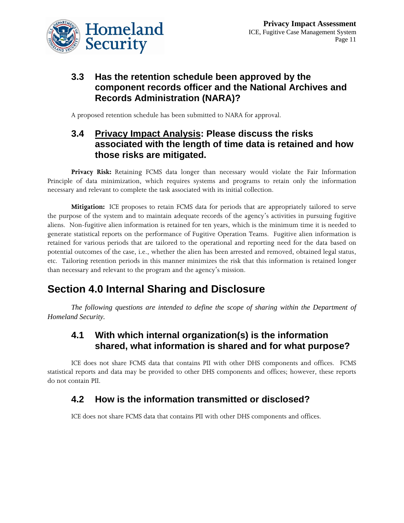

#### **3.3 Has the retention schedule been approved by the component records officer and the National Archives and Records Administration (NARA)?**

A proposed retention schedule has been submitted to NARA for approval.

#### **3.4 Privacy Impact Analysis: Please discuss the risks associated with the length of time data is retained and how those risks are mitigated.**

**Privacy Risk:** Retaining FCMS data longer than necessary would violate the Fair Information Principle of data minimization, which requires systems and programs to retain only the information necessary and relevant to complete the task associated with its initial collection.

**Mitigation:** ICE proposes to retain FCMS data for periods that are appropriately tailored to serve the purpose of the system and to maintain adequate records of the agency's activities in pursuing fugitive aliens. Non-fugitive alien information is retained for ten years, which is the minimum time it is needed to generate statistical reports on the performance of Fugitive Operation Teams. Fugitive alien information is retained for various periods that are tailored to the operational and reporting need for the data based on potential outcomes of the case, i.e., whether the alien has been arrested and removed, obtained legal status, etc. Tailoring retention periods in this manner minimizes the risk that this information is retained longer than necessary and relevant to the program and the agency's mission.

## **Section 4.0 Internal Sharing and Disclosure**

*The following questions are intended to define the scope of sharing within the Department of Homeland Security.* 

#### **4.1 With which internal organization(s) is the information shared, what information is shared and for what purpose?**

ICE does not share FCMS data that contains PII with other DHS components and offices. FCMS statistical reports and data may be provided to other DHS components and offices; however, these reports do not contain PII.

### **4.2 How is the information transmitted or disclosed?**

ICE does not share FCMS data that contains PII with other DHS components and offices.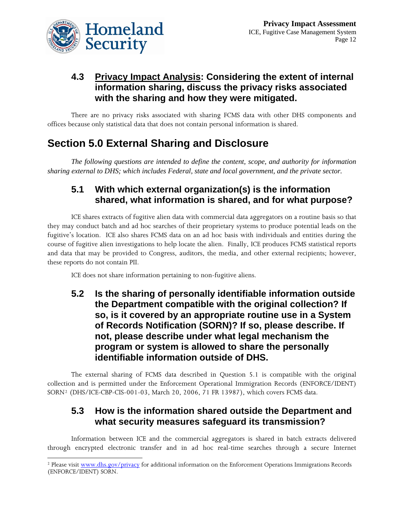

#### **4.3 Privacy Impact Analysis: Considering the extent of internal information sharing, discuss the privacy risks associated with the sharing and how they were mitigated.**

There are no privacy risks associated with sharing FCMS data with other DHS components and offices because only statistical data that does not contain personal information is shared.

## **Section 5.0 External Sharing and Disclosure**

*The following questions are intended to define the content, scope, and authority for information sharing external to DHS; which includes Federal, state and local government, and the private sector.* 

#### **5.1 With which external organization(s) is the information shared, what information is shared, and for what purpose?**

ICE shares extracts of fugitive alien data with commercial data aggregators on a routine basis so that they may conduct batch and ad hoc searches of their proprietary systems to produce potential leads on the fugitive's location. ICE also shares FCMS data on an ad hoc basis with individuals and entities during the course of fugitive alien investigations to help locate the alien. Finally, ICE produces FCMS statistical reports and data that may be provided to Congress, auditors, the media, and other external recipients; however, these reports do not contain PII.

ICE does not share information pertaining to non-fugitive aliens.

**5.2 Is the sharing of personally identifiable information outside the Department compatible with the original collection? If so, is it covered by an appropriate routine use in a System of Records Notification (SORN)? If so, please describe. If not, please describe under what legal mechanism the program or system is allowed to share the personally identifiable information outside of DHS.** 

The external sharing of FCMS data described in Question 5.1 is compatible with the original collection and is permitted under the Enforcement Operational Immigration Records (ENFORCE/IDENT) SORN[2](#page-11-0) (DHS/ICE-CBP-CIS-001-03, March 20, 2006, 71 FR 13987), which covers FCMS data.

#### **5.3 How is the information shared outside the Department and what security measures safeguard its transmission?**

Information between ICE and the commercial aggregators is shared in batch extracts delivered through encrypted electronic transfer and in ad hoc real-time searches through a secure Internet

<span id="page-11-0"></span> $\overline{a}$ <sup>2</sup> Please visit [www.dhs.gov/privacy](http://www.dhs.gov/privacy) for additional information on the Enforcement Operations Immigrations Records (ENFORCE/IDENT) SORN.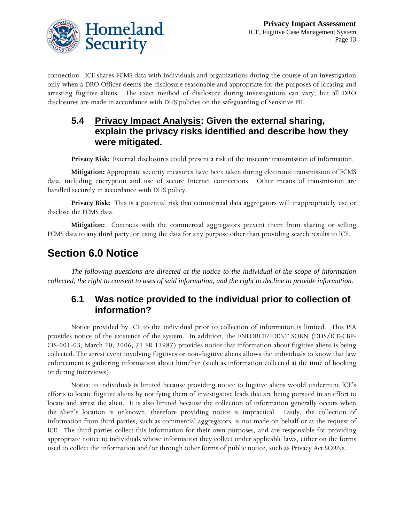

connection. ICE shares FCMS data with individuals and organizations during the course of an investigation only when a DRO Officer deems the disclosure reasonable and appropriate for the purposes of locating and arresting fugitive aliens. The exact method of disclosure during investigations can vary, but all DRO disclosures are made in accordance with DHS policies on the safeguarding of Sensitive PII.

#### **5.4 Privacy Impact Analysis: Given the external sharing, explain the privacy risks identified and describe how they were mitigated.**

**Privacy Risk:** External disclosures could present a risk of the insecure transmission of information.

**Mitigation:** Appropriate security measures have been taken during electronic transmission of FCMS data, including encryption and use of secure Internet connections. Other means of transmission are handled securely in accordance with DHS policy.

Privacy Risk: This is a potential risk that commercial data aggregators will inappropriately use or disclose the FCMS data.

**Mitigation:** Contracts with the commercial aggregators prevent them from sharing or selling FCMS data to any third party, or using the data for any purpose other than providing search results to ICE.

## **Section 6.0 Notice**

*The following questions are directed at the notice to the individual of the scope of information collected, the right to consent to uses of said information, and the right to decline to provide information.* 

#### **6.1 Was notice provided to the individual prior to collection of information?**

Notice provided by ICE to the individual prior to collection of information is limited. This PIA provides notice of the existence of the system. In addition, the ENFORCE/IDENT SORN (DHS/ICE-CBP-CIS-001-03, March 20, 2006, 71 FR 13987) provides notice that information about fugitive aliens is being collected. The arrest event involving fugitives or non-fugitive aliens allows the individuals to know that law enforcement is gathering information about him/her (such as information collected at the time of booking or during interviews).

Notice to individuals is limited because providing notice to fugitive aliens would undermine ICE's efforts to locate fugitive aliens by notifying them of investigative leads that are being pursued in an effort to locate and arrest the alien. It is also limited because the collection of information generally occurs when the alien's location is unknown, therefore providing notice is impractical. Lastly, the collection of information from third parties, such as commercial aggregators, is not made on behalf or at the request of ICE. The third parties collect this information for their own purposes, and are responsible for providing appropriate notice to individuals whose information they collect under applicable laws, either on the forms used to collect the information and/or through other forms of public notice, such as Privacy Act SORNs.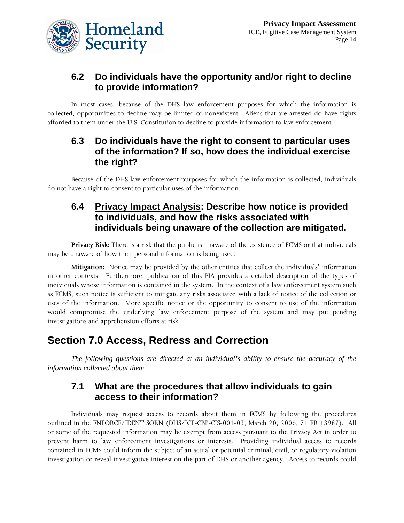

#### **6.2 Do individuals have the opportunity and/or right to decline to provide information?**

In most cases, because of the DHS law enforcement purposes for which the information is collected, opportunities to decline may be limited or nonexistent. Aliens that are arrested do have rights afforded to them under the U.S. Constitution to decline to provide information to law enforcement.

#### **6.3 Do individuals have the right to consent to particular uses of the information? If so, how does the individual exercise the right?**

Because of the DHS law enforcement purposes for which the information is collected, individuals do not have a right to consent to particular uses of the information.

#### **6.4 Privacy Impact Analysis: Describe how notice is provided to individuals, and how the risks associated with individuals being unaware of the collection are mitigated.**

**Privacy Risk:** There is a risk that the public is unaware of the existence of FCMS or that individuals may be unaware of how their personal information is being used.

**Mitigation:** Notice may be provided by the other entities that collect the individuals' information in other contexts. Furthermore, publication of this PIA provides a detailed description of the types of individuals whose information is contained in the system. In the context of a law enforcement system such as FCMS, such notice is sufficient to mitigate any risks associated with a lack of notice of the collection or uses of the information. More specific notice or the opportunity to consent to use of the information would compromise the underlying law enforcement purpose of the system and may put pending investigations and apprehension efforts at risk.

## **Section 7.0 Access, Redress and Correction**

*The following questions are directed at an individual's ability to ensure the accuracy of the information collected about them.* 

#### **7.1 What are the procedures that allow individuals to gain access to their information?**

Individuals may request access to records about them in FCMS by following the procedures outlined in the ENFORCE/IDENT SORN (DHS/ICE-CBP-CIS-001-03, March 20, 2006, 71 FR 13987). All or some of the requested information may be exempt from access pursuant to the Privacy Act in order to prevent harm to law enforcement investigations or interests. Providing individual access to records contained in FCMS could inform the subject of an actual or potential criminal, civil, or regulatory violation investigation or reveal investigative interest on the part of DHS or another agency. Access to records could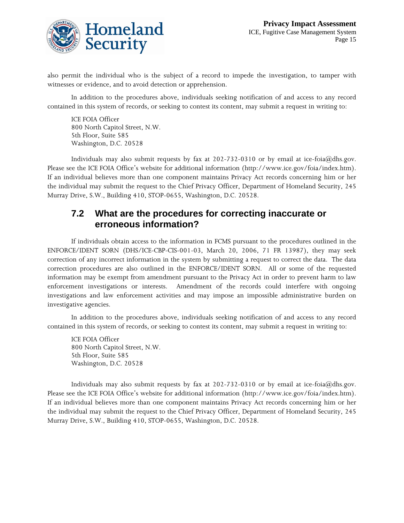

also permit the individual who is the subject of a record to impede the investigation, to tamper with witnesses or evidence, and to avoid detection or apprehension.

In addition to the procedures above, individuals seeking notification of and access to any record contained in this system of records, or seeking to contest its content, may submit a request in writing to:

ICE FOIA Officer 800 North Capitol Street, N.W. 5th Floor, Suite 585 Washington, D.C. 20528

Individuals may also submit requests by fax at 202-732-0310 or by email at ice-foia@dhs.gov. Please see the ICE FOIA Office's website for additional information (http://www.ice.gov/foia/index.htm). If an individual believes more than one component maintains Privacy Act records concerning him or her the individual may submit the request to the Chief Privacy Officer, Department of Homeland Security, 245 Murray Drive, S.W., Building 410, STOP-0655, Washington, D.C. 20528.

#### **7.2 What are the procedures for correcting inaccurate or erroneous information?**

If individuals obtain access to the information in FCMS pursuant to the procedures outlined in the ENFORCE/IDENT SORN (DHS/ICE-CBP-CIS-001-03, March 20, 2006, 71 FR 13987), they may seek correction of any incorrect information in the system by submitting a request to correct the data. The data correction procedures are also outlined in the ENFORCE/IDENT SORN. All or some of the requested information may be exempt from amendment pursuant to the Privacy Act in order to prevent harm to law enforcement investigations or interests. Amendment of the records could interfere with ongoing investigations and law enforcement activities and may impose an impossible administrative burden on investigative agencies.

In addition to the procedures above, individuals seeking notification of and access to any record contained in this system of records, or seeking to contest its content, may submit a request in writing to:

ICE FOIA Officer 800 North Capitol Street, N.W. 5th Floor, Suite 585 Washington, D.C. 20528

Individuals may also submit requests by fax at 202-732-0310 or by email at ice-foia@dhs.gov. Please see the ICE FOIA Office's website for additional information (http://www.ice.gov/foia/index.htm). If an individual believes more than one component maintains Privacy Act records concerning him or her the individual may submit the request to the Chief Privacy Officer, Department of Homeland Security, 245 Murray Drive, S.W., Building 410, STOP-0655, Washington, D.C. 20528.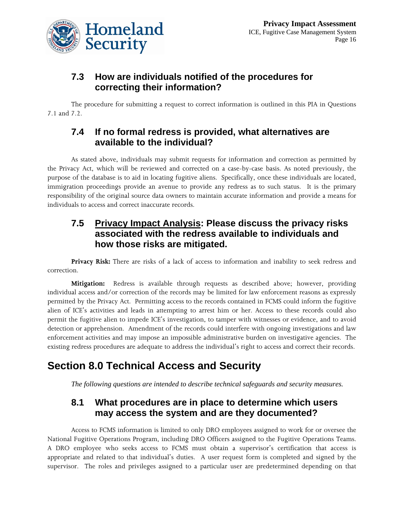

#### **7.3 How are individuals notified of the procedures for correcting their information?**

The procedure for submitting a request to correct information is outlined in this PIA in Questions 7.1 and 7.2.

#### **7.4 If no formal redress is provided, what alternatives are available to the individual?**

As stated above, individuals may submit requests for information and correction as permitted by the Privacy Act, which will be reviewed and corrected on a case-by-case basis. As noted previously, the purpose of the database is to aid in locating fugitive aliens. Specifically, once these individuals are located, immigration proceedings provide an avenue to provide any redress as to such status. It is the primary responsibility of the original source data owners to maintain accurate information and provide a means for individuals to access and correct inaccurate records.

#### **7.5 Privacy Impact Analysis: Please discuss the privacy risks associated with the redress available to individuals and how those risks are mitigated.**

**Privacy Risk:** There are risks of a lack of access to information and inability to seek redress and correction.

**Mitigation:** Redress is available through requests as described above; however, providing individual access and/or correction of the records may be limited for law enforcement reasons as expressly permitted by the Privacy Act. Permitting access to the records contained in FCMS could inform the fugitive alien of ICE's activities and leads in attempting to arrest him or her. Access to these records could also permit the fugitive alien to impede ICE's investigation, to tamper with witnesses or evidence, and to avoid detection or apprehension. Amendment of the records could interfere with ongoing investigations and law enforcement activities and may impose an impossible administrative burden on investigative agencies. The existing redress procedures are adequate to address the individual's right to access and correct their records.

## **Section 8.0 Technical Access and Security**

*The following questions are intended to describe technical safeguards and security measures.* 

#### **8.1 What procedures are in place to determine which users may access the system and are they documented?**

Access to FCMS information is limited to only DRO employees assigned to work for or oversee the National Fugitive Operations Program, including DRO Officers assigned to the Fugitive Operations Teams. A DRO employee who seeks access to FCMS must obtain a supervisor's certification that access is appropriate and related to that individual's duties. A user request form is completed and signed by the supervisor. The roles and privileges assigned to a particular user are predetermined depending on that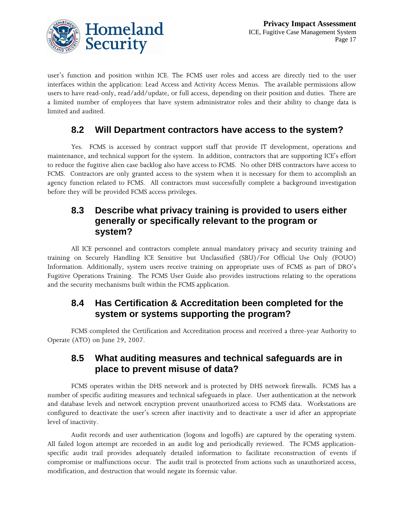

user's function and position within ICE. The FCMS user roles and access are directly tied to the user interfaces within the application: Lead Access and Activity Access Menus. The available permissions allow users to have read-only, read/add/update, or full access, depending on their position and duties. There are a limited number of employees that have system administrator roles and their ability to change data is limited and audited.

#### **8.2 Will Department contractors have access to the system?**

Yes. FCMS is accessed by contract support staff that provide IT development, operations and maintenance, and technical support for the system. In addition, contractors that are supporting ICE's effort to reduce the fugitive alien case backlog also have access to FCMS. No other DHS contractors have access to FCMS. Contractors are only granted access to the system when it is necessary for them to accomplish an agency function related to FCMS. All contractors must successfully complete a background investigation before they will be provided FCMS access privileges.

#### **8.3 Describe what privacy training is provided to users either generally or specifically relevant to the program or system?**

All ICE personnel and contractors complete annual mandatory privacy and security training and training on Securely Handling ICE Sensitive but Unclassified (SBU)/For Official Use Only (FOUO) Information. Additionally, system users receive training on appropriate uses of FCMS as part of DRO's Fugitive Operations Training. The FCMS User Guide also provides instructions relating to the operations and the security mechanisms built within the FCMS application.

#### **8.4 Has Certification & Accreditation been completed for the system or systems supporting the program?**

FCMS completed the Certification and Accreditation process and received a three-year Authority to Operate (ATO) on June 29, 2007.

#### **8.5 What auditing measures and technical safeguards are in place to prevent misuse of data?**

FCMS operates within the DHS network and is protected by DHS network firewalls. FCMS has a number of specific auditing measures and technical safeguards in place. User authentication at the network and database levels and network encryption prevent unauthorized access to FCMS data. Workstations are configured to deactivate the user's screen after inactivity and to deactivate a user id after an appropriate level of inactivity.

Audit records and user authentication (logons and logoffs) are captured by the operating system. All failed logon attempt are recorded in an audit log and periodically reviewed. The FCMS applicationspecific audit trail provides adequately detailed information to facilitate reconstruction of events if compromise or malfunctions occur. The audit trail is protected from actions such as unauthorized access, modification, and destruction that would negate its forensic value.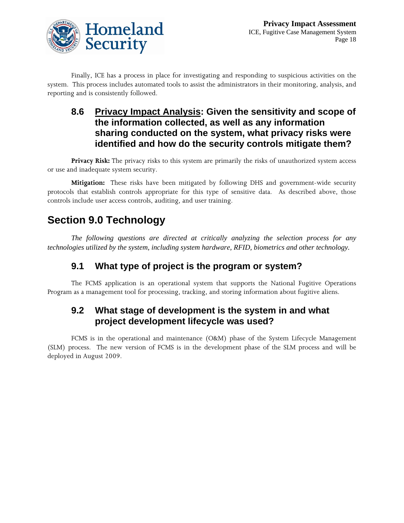

Finally, ICE has a process in place for investigating and responding to suspicious activities on the system. This process includes automated tools to assist the administrators in their monitoring, analysis, and reporting and is consistently followed.

#### **8.6 Privacy Impact Analysis: Given the sensitivity and scope of the information collected, as well as any information sharing conducted on the system, what privacy risks were identified and how do the security controls mitigate them?**

**Privacy Risk:** The privacy risks to this system are primarily the risks of unauthorized system access or use and inadequate system security.

**Mitigation:** These risks have been mitigated by following DHS and government-wide security protocols that establish controls appropriate for this type of sensitive data. As described above, those controls include user access controls, auditing, and user training.

## **Section 9.0 Technology**

*The following questions are directed at critically analyzing the selection process for any technologies utilized by the system, including system hardware, RFID, biometrics and other technology.* 

### **9.1 What type of project is the program or system?**

The FCMS application is an operational system that supports the National Fugitive Operations Program as a management tool for processing, tracking, and storing information about fugitive aliens.

#### **9.2 What stage of development is the system in and what project development lifecycle was used?**

FCMS is in the operational and maintenance (O&M) phase of the System Lifecycle Management (SLM) process. The new version of FCMS is in the development phase of the SLM process and will be deployed in August 2009.